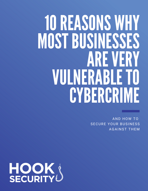# 10REASONS WHY MOST BUSINESSES AREVERY VULNERABLETO **CYBERCRIME**

AND HOW TO SECURE YOUR BUSINESS AGAINST THEM

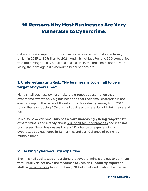# **10 Reasons Why Most Businesses Are Very Vulnerable to Cybercrime.**

Cybercrime is rampant, with worldwide costs expected to double from \$3 trillion in 2015 to \$6 [trillion](https://cybersecurityventures.com/hackerpocalypse-cybercrime-report-2016/) by 2021. And it is not just Fortune 500 companies that are paying the bill. Small businesses are in the crosshairs and they are losing the fight against cybercrime because they are:

#### **1. Underestimating Risk: "My business is too small to be a target of cybercrime"**

Many small business owners make the erroneous assumption that cybercrime affects only big business and that their small enterprise is not even a blimp on the radar of threat actors. An industry survey from 2017 found that a [whopping](https://duo.com/about/press/releases/duo-security-finds-36-of-uk-small-businesses-operate-at-or-below-the-security-poverty-line) 45% of small business owners do not think they are at risk.

In reality however, **small businesses are increasingly being targeted** by cybercriminals and already about 50% of all security [breaches](https://www.inc.com/joseph-steinberg/small-businesses-beware-half-of-all-cyber-attacks-target-you.html) occur at small businesses. Small businesses have a 47% [chance](https://www.hiscox.com/how-to-develop-strong-small-business-cyber-security-strategy) of experiencing a cyberattack at least once in 12 months, and a 21% chance of being hit multiple times.

#### **2. Lacking cybersecurity expertise**

Even if small businesses understand that cybercriminals are out to get them, they usually do not have the resources to keep an **IT security expert** on staff. A recent [survey](https://www.techrepublic.com/article/less-than-30-of-smbs-have-an-it-security-pro-on-staff/) found that only 30% of small and medium businesses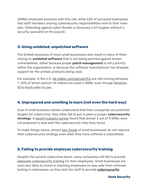(SMBs) employed someone with this role, while 52% of surveyed businesses had staff members sharing cybersecurity responsibilities next to their main jobs. Defending against cyber threats is obviously a lot tougher without a security specialist on the payroll.

# **3. Using outdated, unpatched software**

The limited resources of most small businesses also result in many of them relying on **outdated software** that is not being patched against known vulnerabilities, either because proper **patch management** is not a priority within the organization, or because the software manufacturer has dropped support for the archaic products being used.

For example, in the U.S. 46 million [commercial](https://www.computerworld.com/article/3199373/windows-pcs/windows-by-the-numbers-windows-10s-growth-continues.html) PCs are still running Windows 7, 30% of which (almost 14 million) are used in SMBs, even though [Windows](https://www.zdnet.com/article/windows-10-vs-windows-7-microsofts-newer-os-is-almost-twice-as-secure/) 10 is [much](https://www.zdnet.com/article/windows-10-vs-windows-7-microsofts-newer-os-is-almost-twice-as-secure/) safer to use.

# **4. Unprepared and unwilling to learn (not even the hard way)**

Even if small business owners understand that their companies are potential targets for cybercrime, they often fail to put in place a proper **cybersecurity strategy**. A recent [industry](https://www.techrepublic.com/article/report-71-of-smbs-are-not-prepared-for-cybersecurity-risks/) survey found that almost 3 out of 4 SMBs were not prepared to deal with the cybersecurity risks they faced.

To make things worse, almost [two-thirds](https://eu.usatoday.com/story/money/usaandmain/2018/06/18/small-businesses-vulnerable-cyberattacks-then-dont-act/710025002/) of small businesses do not improve their cybersecurity strategy even after they have suffered a cyberattack.

#### **5. Failing to provide employee cybersecurity training**

Despite the current cybercrime boom, many companies still fail to provide adequate [cybersecurity](https://www.welivesecurity.com/2018/05/21/cybersecurity-training-still-neglected/) training for their employees. Small businesses are even less likely to invest in teaching employees to stay safe from criminals lurking in cyberspace, as they lack the staff to provide **[cybersecurity](https://hooksecurity.co/)**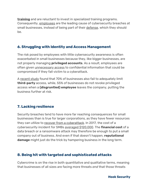**[training](https://hooksecurity.co/)** and are reluctant to invest in specialized training programs. Consequently, [employees](https://www.techrepublic.com/article/report-negligent-employees-are-no-1-cause-of-cybersecurity-breaches-at-smbs/) are the leading cause of cybersecurity breaches at small businesses, instead of being part of their [defense](https://www.sgsme.sg/resources/employees-best-line-defense-prevent-cyber-attacks), which they should be.

# **6. Struggling with Identity and Access Management**

The risk posed by employees with little cybersecurity awareness is often exacerbated in small businesses because they, like bigger businesses, are not properly managing **privileged accounts**. As a result, employees are often given [unnecessary](https://biztechmagazine.com/article/2018/05/dell-technologies-world-2018-why-identity-management-is-a-threat-for-small-businesses) access to confidential information that could be compromised if they fall victim to a cyberattack.

A [recent](https://thycotic.com/resources/2018-global-state-of-pam-compliance/) study found that 70% of businesses also fail to adequately limit **third-party** access, while, 55% of businesses do not revoke privileged access when a **(disgruntled) employee** leaves the company, putting the business further at risk.

# **7. Lacking resilience**

Security breaches tend to have more far reaching consequences for small businesses than is true for larger corporations, as they have fewer resources they can utilize to recover from a [cyberattack.](https://www.csoonline.com/article/3267715/cyber-attacks-espionage/4-main-reasons-why-smes-and-smbs-fail-after-a-major-cyberattack.html) In 2017, the cost of a cybersecurity incident for SMBs averaged [\\$120,000.](https://www.kaspersky.com/blog/economics-report-2018/22486/) The **financial cost** of a data breach or a ransomware attack may therefore be enough to put a small company out of business. And even if that doesn't happen, **reputational damage** might just do the trick by hampering business in the long term.

#### **8. Being hit with targeted and sophisticated attacks**

Cybercrime is on the rise in both quantitative and qualitative terms, meaning that businesses of all sizes are facing more threats *and* that those threats